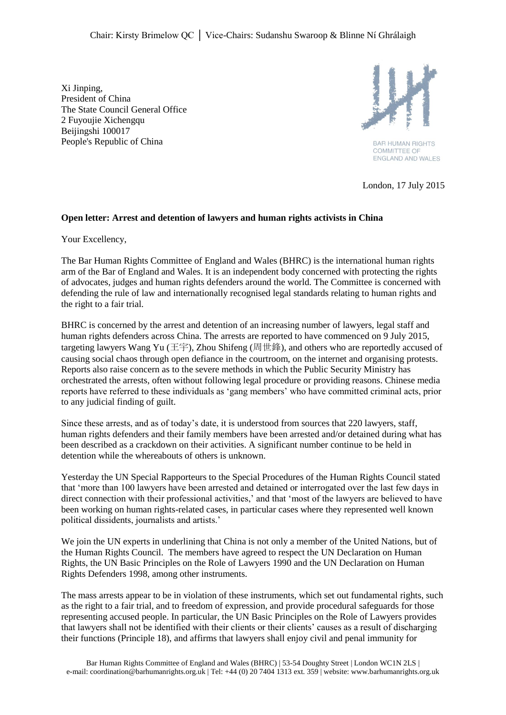Xi Jinping, President of China The State Council General Office 2 Fuyoujie Xichengqu Beijingshi 100017 People's Republic of China



**BAR HUMAN RIGHTS COMMITTEE OF** ENGLAND AND WALES

London, 17 July 2015

## **Open letter: Arrest and detention of lawyers and human rights activists in China**

Your Excellency,

The Bar Human Rights Committee of England and Wales (BHRC) is the international human rights arm of the Bar of England and Wales. It is an independent body concerned with protecting the rights of advocates, judges and human rights defenders around the world. The Committee is concerned with defending the rule of law and internationally recognised legal standards relating to human rights and the right to a fair trial.

BHRC is concerned by the arrest and detention of an increasing number of lawyers, legal staff and human rights defenders across China. The arrests are reported to have commenced on 9 July 2015, targeting lawyers Wang Yu (王宇), Zhou Shifeng (周世鋒), and others who are reportedly accused of causing social chaos through open defiance in the courtroom, on the internet and organising protests. Reports also raise concern as to the severe methods in which the Public Security Ministry has orchestrated the arrests, often without following legal procedure or providing reasons. Chinese media reports have referred to these individuals as 'gang members' who have committed criminal acts, prior to any judicial finding of guilt.

Since these arrests, and as of today's date, it is understood from sources that 220 lawyers, staff, human rights defenders and their family members have been arrested and/or detained during what has been described as a crackdown on their activities. A significant number continue to be held in detention while the whereabouts of others is unknown.

Yesterday the UN Special Rapporteurs to the Special Procedures of the Human Rights Council stated that 'more than 100 lawyers have been arrested and detained or interrogated over the last few days in direct connection with their professional activities,' and that 'most of the lawyers are believed to have been working on human rights-related cases, in particular cases where they represented well known political dissidents, journalists and artists.'

We join the UN experts in underlining that China is not only a member of the United Nations, but of the Human Rights Council. The members have agreed to respect the UN Declaration on Human Rights, the UN Basic Principles on the Role of Lawyers 1990 and the UN Declaration on Human Rights Defenders 1998, among other instruments.

The mass arrests appear to be in violation of these instruments, which set out fundamental rights, such as the right to a fair trial, and to freedom of expression, and provide procedural safeguards for those representing accused people. In particular, the UN Basic Principles on the Role of Lawyers provides that lawyers shall not be identified with their clients or their clients' causes as a result of discharging their functions (Principle 18), and affirms that lawyers shall enjoy civil and penal immunity for